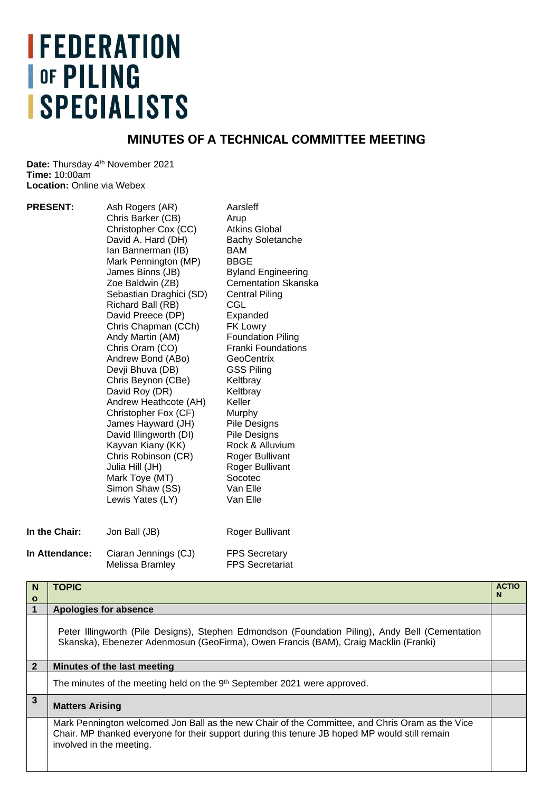# **IFEDERATION OF PILING ISPECIALISTS**

## **MINUTES OF A TECHNICAL COMMITTEE MEETING**

Date: Thursday 4<sup>th</sup> November 2021 **Time:** 10:00am **Location: Online via Webex** 

| Ash Rogers (AR)         | Aarsleff                   |
|-------------------------|----------------------------|
| Chris Barker (CB)       | Arup                       |
| Christopher Cox (CC)    | <b>Atkins Global</b>       |
| David A. Hard (DH)      | <b>Bachy Soletanche</b>    |
| Ian Bannerman (IB)      | BAM                        |
| Mark Pennington (MP)    | <b>BBGE</b>                |
| James Binns (JB)        | <b>Byland Engineering</b>  |
| Zoe Baldwin (ZB)        | <b>Cementation Skanska</b> |
| Sebastian Draghici (SD) | <b>Central Piling</b>      |
| Richard Ball (RB)       | CGL                        |
| David Preece (DP)       | Expanded                   |
| Chris Chapman (CCh)     | <b>FK Lowry</b>            |
| Andy Martin (AM)        | <b>Foundation Piling</b>   |
| Chris Oram (CO)         | <b>Franki Foundations</b>  |
| Andrew Bond (ABo)       | <b>GeoCentrix</b>          |
| Devji Bhuva (DB)        | <b>GSS Piling</b>          |
| Chris Beynon (CBe)      | Keltbray                   |
| David Roy (DR)          | Keltbray                   |
| Andrew Heathcote (AH)   | Keller                     |
| Christopher Fox (CF)    | Murphy                     |
| James Hayward (JH)      | Pile Designs               |
| David Illingworth (DI)  | Pile Designs               |
| Kayvan Kiany (KK)       | Rock & Alluvium            |
| Chris Robinson (CR)     | Roger Bullivant            |
| Julia Hill (JH)         | Roger Bullivant            |
| Mark Toye (MT)          | Socotec                    |
| Simon Shaw (SS)         | Van Elle                   |
| Lewis Yates (LY)        | Van Elle                   |
| Jon Ball (JB)           | Roger Bullivant            |
| Ciaran Jennings (CJ)    | <b>FPS Secretary</b>       |
| Melissa Bramley         | <b>FPS Secretariat</b>     |
|                         |                            |

| N                       | <b>TOPIC</b>                                                                                                                                                                                                                  | <b>ACTIO</b> |
|-------------------------|-------------------------------------------------------------------------------------------------------------------------------------------------------------------------------------------------------------------------------|--------------|
| $\mathbf{o}$            |                                                                                                                                                                                                                               | N            |
| $\overline{\mathbf{1}}$ | <b>Apologies for absence</b>                                                                                                                                                                                                  |              |
|                         | Peter Illingworth (Pile Designs), Stephen Edmondson (Foundation Piling), Andy Bell (Cementation<br>Skanska), Ebenezer Adenmosun (GeoFirma), Owen Francis (BAM), Craig Macklin (Franki)                                        |              |
| $\overline{2}$          | Minutes of the last meeting                                                                                                                                                                                                   |              |
|                         | The minutes of the meeting held on the 9 <sup>th</sup> September 2021 were approved.                                                                                                                                          |              |
| 3                       | <b>Matters Arising</b>                                                                                                                                                                                                        |              |
|                         | Mark Pennington welcomed Jon Ball as the new Chair of the Committee, and Chris Oram as the Vice<br>Chair. MP thanked everyone for their support during this tenure JB hoped MP would still remain<br>involved in the meeting. |              |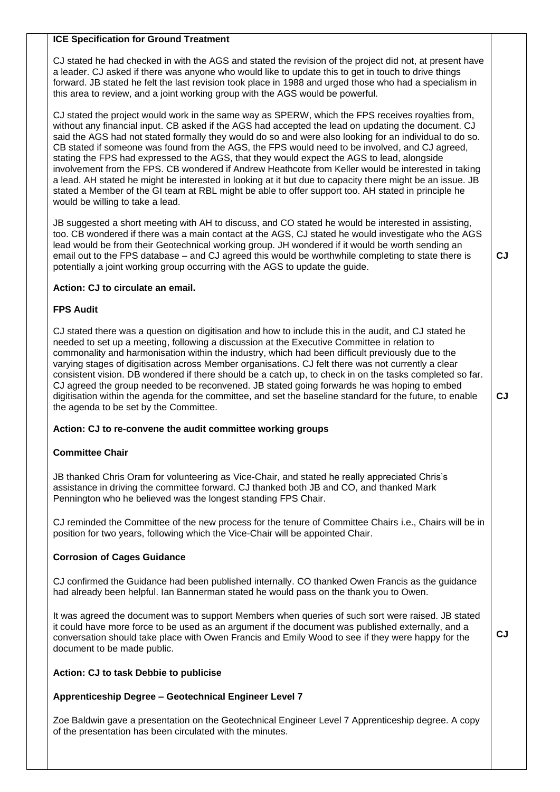#### **ICE Specification for Ground Treatment**

CJ stated he had checked in with the AGS and stated the revision of the project did not, at present have a leader. CJ asked if there was anyone who would like to update this to get in touch to drive things forward. JB stated he felt the last revision took place in 1988 and urged those who had a specialism in this area to review, and a joint working group with the AGS would be powerful.

CJ stated the project would work in the same way as SPERW, which the FPS receives royalties from, without any financial input. CB asked if the AGS had accepted the lead on updating the document. CJ said the AGS had not stated formally they would do so and were also looking for an individual to do so. CB stated if someone was found from the AGS, the FPS would need to be involved, and CJ agreed, stating the FPS had expressed to the AGS, that they would expect the AGS to lead, alongside involvement from the FPS. CB wondered if Andrew Heathcote from Keller would be interested in taking a lead. AH stated he might be interested in looking at it but due to capacity there might be an issue. JB stated a Member of the GI team at RBL might be able to offer support too. AH stated in principle he would be willing to take a lead.

JB suggested a short meeting with AH to discuss, and CO stated he would be interested in assisting, too. CB wondered if there was a main contact at the AGS, CJ stated he would investigate who the AGS lead would be from their Geotechnical working group. JH wondered if it would be worth sending an email out to the FPS database – and CJ agreed this would be worthwhile completing to state there is potentially a joint working group occurring with the AGS to update the guide.

#### **Action: CJ to circulate an email.**

#### **FPS Audit**

CJ stated there was a question on digitisation and how to include this in the audit, and CJ stated he needed to set up a meeting, following a discussion at the Executive Committee in relation to commonality and harmonisation within the industry, which had been difficult previously due to the varying stages of digitisation across Member organisations. CJ felt there was not currently a clear consistent vision. DB wondered if there should be a catch up, to check in on the tasks completed so far. CJ agreed the group needed to be reconvened. JB stated going forwards he was hoping to embed digitisation within the agenda for the committee, and set the baseline standard for the future, to enable the agenda to be set by the Committee.

#### **Action: CJ to re-convene the audit committee working groups**

#### **Committee Chair**

JB thanked Chris Oram for volunteering as Vice-Chair, and stated he really appreciated Chris's assistance in driving the committee forward. CJ thanked both JB and CO, and thanked Mark Pennington who he believed was the longest standing FPS Chair.

CJ reminded the Committee of the new process for the tenure of Committee Chairs i.e., Chairs will be in position for two years, following which the Vice-Chair will be appointed Chair.

#### **Corrosion of Cages Guidance**

CJ confirmed the Guidance had been published internally. CO thanked Owen Francis as the guidance had already been helpful. Ian Bannerman stated he would pass on the thank you to Owen.

It was agreed the document was to support Members when queries of such sort were raised. JB stated it could have more force to be used as an argument if the document was published externally, and a conversation should take place with Owen Francis and Emily Wood to see if they were happy for the document to be made public.

### **CJ**

**CJ**

**CJ**

#### **Action: CJ to task Debbie to publicise**

#### **Apprenticeship Degree – Geotechnical Engineer Level 7**

Zoe Baldwin gave a presentation on the Geotechnical Engineer Level 7 Apprenticeship degree. A copy of the presentation has been circulated with the minutes.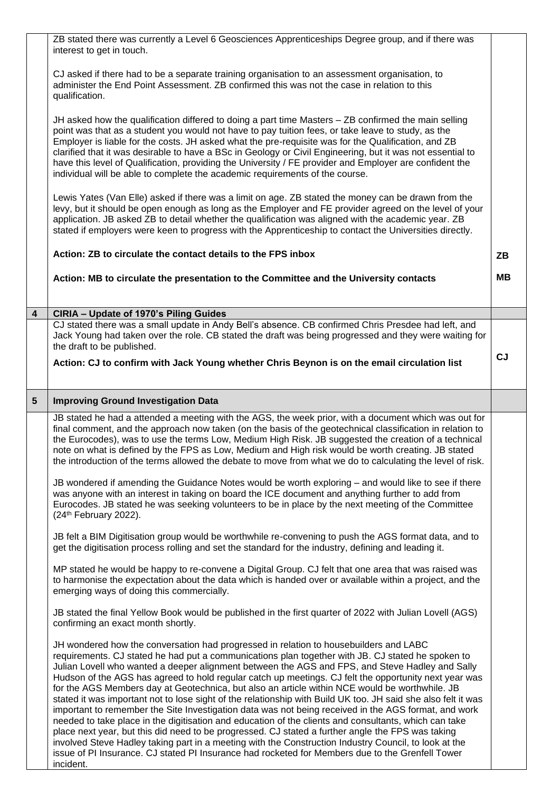|   | ZB stated there was currently a Level 6 Geosciences Apprenticeships Degree group, and if there was<br>interest to get in touch.                                                                                                                                                                                                                                                                                                                                                                                                                                                                                                                                                                                                                                                                                                                                                                                                                 |           |
|---|-------------------------------------------------------------------------------------------------------------------------------------------------------------------------------------------------------------------------------------------------------------------------------------------------------------------------------------------------------------------------------------------------------------------------------------------------------------------------------------------------------------------------------------------------------------------------------------------------------------------------------------------------------------------------------------------------------------------------------------------------------------------------------------------------------------------------------------------------------------------------------------------------------------------------------------------------|-----------|
|   | CJ asked if there had to be a separate training organisation to an assessment organisation, to<br>administer the End Point Assessment. ZB confirmed this was not the case in relation to this<br>qualification.                                                                                                                                                                                                                                                                                                                                                                                                                                                                                                                                                                                                                                                                                                                                 |           |
|   | JH asked how the qualification differed to doing a part time Masters - ZB confirmed the main selling<br>point was that as a student you would not have to pay tuition fees, or take leave to study, as the<br>Employer is liable for the costs. JH asked what the pre-requisite was for the Qualification, and ZB<br>clarified that it was desirable to have a BSc in Geology or Civil Engineering, but it was not essential to<br>have this level of Qualification, providing the University / FE provider and Employer are confident the<br>individual will be able to complete the academic requirements of the course.                                                                                                                                                                                                                                                                                                                      |           |
|   | Lewis Yates (Van Elle) asked if there was a limit on age. ZB stated the money can be drawn from the<br>levy, but it should be open enough as long as the Employer and FE provider agreed on the level of your<br>application. JB asked ZB to detail whether the qualification was aligned with the academic year. ZB<br>stated if employers were keen to progress with the Apprenticeship to contact the Universities directly.                                                                                                                                                                                                                                                                                                                                                                                                                                                                                                                 |           |
|   | Action: ZB to circulate the contact details to the FPS inbox                                                                                                                                                                                                                                                                                                                                                                                                                                                                                                                                                                                                                                                                                                                                                                                                                                                                                    | ZΒ        |
|   | Action: MB to circulate the presentation to the Committee and the University contacts                                                                                                                                                                                                                                                                                                                                                                                                                                                                                                                                                                                                                                                                                                                                                                                                                                                           | MВ        |
| 4 | CIRIA - Update of 1970's Piling Guides                                                                                                                                                                                                                                                                                                                                                                                                                                                                                                                                                                                                                                                                                                                                                                                                                                                                                                          |           |
|   | CJ stated there was a small update in Andy Bell's absence. CB confirmed Chris Presdee had left, and                                                                                                                                                                                                                                                                                                                                                                                                                                                                                                                                                                                                                                                                                                                                                                                                                                             |           |
|   | Jack Young had taken over the role. CB stated the draft was being progressed and they were waiting for<br>the draft to be published.                                                                                                                                                                                                                                                                                                                                                                                                                                                                                                                                                                                                                                                                                                                                                                                                            |           |
|   | Action: CJ to confirm with Jack Young whether Chris Beynon is on the email circulation list                                                                                                                                                                                                                                                                                                                                                                                                                                                                                                                                                                                                                                                                                                                                                                                                                                                     | <b>CJ</b> |
| 5 | <b>Improving Ground Investigation Data</b>                                                                                                                                                                                                                                                                                                                                                                                                                                                                                                                                                                                                                                                                                                                                                                                                                                                                                                      |           |
|   | JB stated he had a attended a meeting with the AGS, the week prior, with a document which was out for<br>final comment, and the approach now taken (on the basis of the geotechnical classification in relation to<br>the Eurocodes), was to use the terms Low, Medium High Risk. JB suggested the creation of a technical<br>note on what is defined by the FPS as Low, Medium and High risk would be worth creating. JB stated<br>the introduction of the terms allowed the debate to move from what we do to calculating the level of risk.                                                                                                                                                                                                                                                                                                                                                                                                  |           |
|   | JB wondered if amending the Guidance Notes would be worth exploring - and would like to see if there<br>was anyone with an interest in taking on board the ICE document and anything further to add from<br>Eurocodes. JB stated he was seeking volunteers to be in place by the next meeting of the Committee<br>(24th February 2022).                                                                                                                                                                                                                                                                                                                                                                                                                                                                                                                                                                                                         |           |
|   | JB felt a BIM Digitisation group would be worthwhile re-convening to push the AGS format data, and to<br>get the digitisation process rolling and set the standard for the industry, defining and leading it.                                                                                                                                                                                                                                                                                                                                                                                                                                                                                                                                                                                                                                                                                                                                   |           |
|   | MP stated he would be happy to re-convene a Digital Group. CJ felt that one area that was raised was<br>to harmonise the expectation about the data which is handed over or available within a project, and the<br>emerging ways of doing this commercially.                                                                                                                                                                                                                                                                                                                                                                                                                                                                                                                                                                                                                                                                                    |           |
|   | JB stated the final Yellow Book would be published in the first quarter of 2022 with Julian Lovell (AGS)<br>confirming an exact month shortly.                                                                                                                                                                                                                                                                                                                                                                                                                                                                                                                                                                                                                                                                                                                                                                                                  |           |
|   | JH wondered how the conversation had progressed in relation to housebuilders and LABC<br>requirements. CJ stated he had put a communications plan together with JB. CJ stated he spoken to<br>Julian Lovell who wanted a deeper alignment between the AGS and FPS, and Steve Hadley and Sally<br>Hudson of the AGS has agreed to hold regular catch up meetings. CJ felt the opportunity next year was<br>for the AGS Members day at Geotechnica, but also an article within NCE would be worthwhile. JB<br>stated it was important not to lose sight of the relationship with Build UK too. JH said she also felt it was<br>important to remember the Site Investigation data was not being received in the AGS format, and work<br>needed to take place in the digitisation and education of the clients and consultants, which can take<br>place next year, but this did need to be progressed. CJ stated a further angle the FPS was taking |           |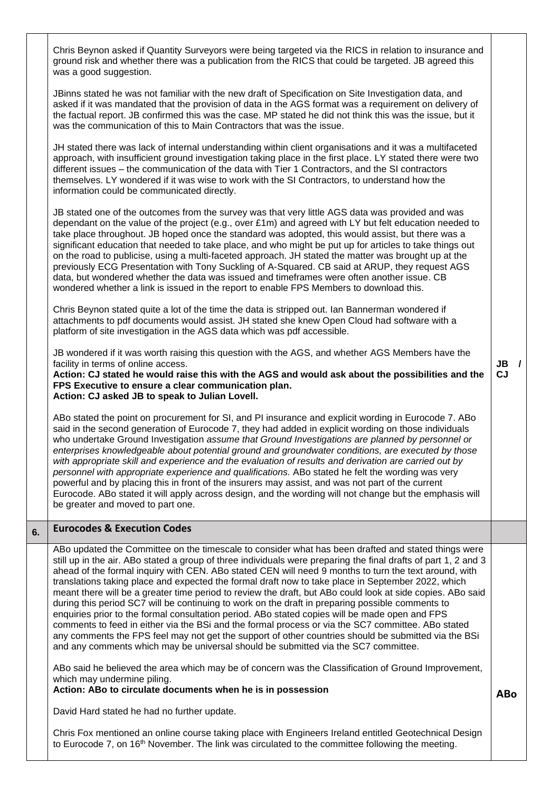Chris Beynon asked if Quantity Surveyors were being targeted via the RICS in relation to insurance and ground risk and whether there was a publication from the RICS that could be targeted. JB agreed this was a good suggestion. JBinns stated he was not familiar with the new draft of Specification on Site Investigation data, and asked if it was mandated that the provision of data in the AGS format was a requirement on delivery of the factual report. JB confirmed this was the case. MP stated he did not think this was the issue, but it was the communication of this to Main Contractors that was the issue. JH stated there was lack of internal understanding within client organisations and it was a multifaceted approach, with insufficient ground investigation taking place in the first place. LY stated there were two different issues – the communication of the data with Tier 1 Contractors, and the SI contractors themselves. LY wondered if it was wise to work with the SI Contractors, to understand how the information could be communicated directly. JB stated one of the outcomes from the survey was that very little AGS data was provided and was dependant on the value of the project (e.g., over £1m) and agreed with LY but felt education needed to take place throughout. JB hoped once the standard was adopted, this would assist, but there was a significant education that needed to take place, and who might be put up for articles to take things out on the road to publicise, using a multi-faceted approach. JH stated the matter was brought up at the previously ECG Presentation with Tony Suckling of A-Squared. CB said at ARUP, they request AGS data, but wondered whether the data was issued and timeframes were often another issue. CB wondered whether a link is issued in the report to enable FPS Members to download this. Chris Beynon stated quite a lot of the time the data is stripped out. Ian Bannerman wondered if attachments to pdf documents would assist. JH stated she knew Open Cloud had software with a platform of site investigation in the AGS data which was pdf accessible. JB wondered if it was worth raising this question with the AGS, and whether AGS Members have the facility in terms of online access. **Action: CJ stated he would raise this with the AGS and would ask about the possibilities and the FPS Executive to ensure a clear communication plan. Action: CJ asked JB to speak to Julian Lovell.**  ABo stated the point on procurement for SI, and PI insurance and explicit wording in Eurocode 7. ABo said in the second generation of Eurocode 7, they had added in explicit wording on those individuals who undertake Ground Investigation *assume that Ground Investigations are planned by personnel or enterprises knowledgeable about potential ground and groundwater conditions, are executed by those with appropriate skill and experience and the evaluation of results and derivation are carried out by personnel with appropriate experience and qualifications.* ABo stated he felt the wording was very powerful and by placing this in front of the insurers may assist, and was not part of the current Eurocode. ABo stated it will apply across design, and the wording will not change but the emphasis will be greater and moved to part one. **JB / CJ 6. Eurocodes & Execution Codes** ABo updated the Committee on the timescale to consider what has been drafted and stated things were still up in the air. ABo stated a group of three individuals were preparing the final drafts of part 1, 2 and 3 ahead of the formal inquiry with CEN. ABo stated CEN will need 9 months to turn the text around, with translations taking place and expected the formal draft now to take place in September 2022, which meant there will be a greater time period to review the draft, but ABo could look at side copies. ABo said during this period SC7 will be continuing to work on the draft in preparing possible comments to enquiries prior to the formal consultation period. ABo stated copies will be made open and FPS comments to feed in either via the BSi and the formal process or via the SC7 committee. ABo stated any comments the FPS feel may not get the support of other countries should be submitted via the BSi and any comments which may be universal should be submitted via the SC7 committee. ABo said he believed the area which may be of concern was the Classification of Ground Improvement, which may undermine piling. **Action: ABo to circulate documents when he is in possession** David Hard stated he had no further update. Chris Fox mentioned an online course taking place with Engineers Ireland entitled Geotechnical Design to Eurocode 7, on 16th November. The link was circulated to the committee following the meeting. **ABo**